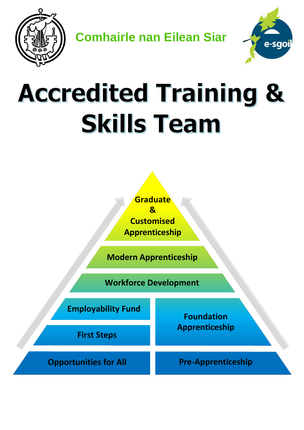

**Comhairle nan Eilean Siar**



# **Accredited Training & Skills Team**

**Graduate & Customised Apprenticeship**

**Modern Apprenticeship**

**Workforce Development**

**Employability Fund Foundation Apprenticeship First Steps Opportunities for All <b>Pre-Apprenticeship**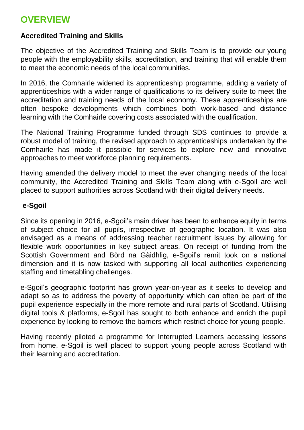# **OVERVIEW**

## **Accredited Training and Skills**

The objective of the Accredited Training and Skills Team is to provide our young people with the employability skills, accreditation, and training that will enable them to meet the economic needs of the local communities.

In 2016, the Comhairle widened its apprenticeship programme, adding a variety of apprenticeships with a wider range of qualifications to its delivery suite to meet the accreditation and training needs of the local economy. These apprenticeships are often bespoke developments which combines both work-based and distance learning with the Comhairle covering costs associated with the qualification.

The National Training Programme funded through SDS continues to provide a robust model of training, the revised approach to apprenticeships undertaken by the Comhairle has made it possible for services to explore new and innovative approaches to meet workforce planning requirements.

Having amended the delivery model to meet the ever changing needs of the local community, the Accredited Training and Skills Team along with e-Sgoil are well placed to support authorities across Scotland with their digital delivery needs.

## **e-Sgoil**

Since its opening in 2016, e-Sgoil's main driver has been to enhance equity in terms of subject choice for all pupils, irrespective of geographic location. It was also envisaged as a means of addressing teacher recruitment issues by allowing for flexible work opportunities in key subject areas. On receipt of funding from the Scottish Government and Bòrd na Gàidhlig, e-Sgoil's remit took on a national dimension and it is now tasked with supporting all local authorities experiencing staffing and timetabling challenges.

e-Sgoil's geographic footprint has grown year-on-year as it seeks to develop and adapt so as to address the poverty of opportunity which can often be part of the pupil experience especially in the more remote and rural parts of Scotland. Utilising digital tools & platforms, e-Sgoil has sought to both enhance and enrich the pupil experience by looking to remove the barriers which restrict choice for young people.

Having recently piloted a programme for Interrupted Learners accessing lessons from home, e-Sgoil is well placed to support young people across Scotland with their learning and accreditation.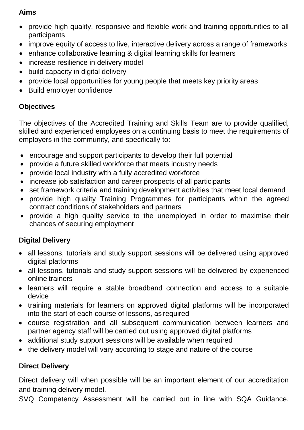## **Aims**

- provide high quality, responsive and flexible work and training opportunities to all participants
- improve equity of access to live, interactive delivery across a range of frameworks
- enhance collaborative learning & digital learning skills for learners
- increase resilience in delivery model
- build capacity in digital delivery
- provide local opportunities for young people that meets key priority areas
- Build employer confidence

# **Objectives**

The objectives of the Accredited Training and Skills Team are to provide qualified, skilled and experienced employees on a continuing basis to meet the requirements of employers in the community, and specifically to:

- encourage and support participants to develop their full potential
- provide a future skilled workforce that meets industry needs
- provide local industry with a fully accredited workforce
- increase job satisfaction and career prospects of all participants
- set framework criteria and training development activities that meet local demand
- provide high quality Training Programmes for participants within the agreed contract conditions of stakeholders and partners
- provide a high quality service to the unemployed in order to maximise their chances of securing employment

# **Digital Delivery**

- all lessons, tutorials and study support sessions will be delivered using approved digital platforms
- all lessons, tutorials and study support sessions will be delivered by experienced online trainers
- learners will require a stable broadband connection and access to a suitable device
- training materials for learners on approved digital platforms will be incorporated into the start of each course of lessons, as required
- course registration and all subsequent communication between learners and partner agency staff will be carried out using approved digital platforms
- additional study support sessions will be available when required
- the delivery model will vary according to stage and nature of the course

# **Direct Delivery**

Direct delivery will when possible will be an important element of our accreditation and training delivery model.

SVQ Competency Assessment will be carried out in line with SQA Guidance.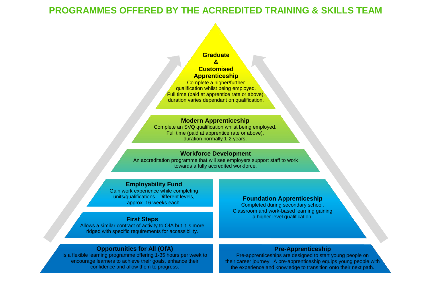# **PROGRAMMES OFFERED BY THE ACRREDITED TRAINING & SKILLS TEAM**

## **Graduate**

#### **& Customised**

#### **Apprenticeship**

Complete a higher/further qualification whilst being employed. Full time (paid at apprentice rate or above), duration varies dependant on qualification.

#### **Modern Apprenticeship**

Complete an SVQ qualification whilst being employed. Full time (paid at apprentice rate or above), duration normally 1-2 years.

### **Workforce Development**

An accreditation programme that will see employers support staff to work towards a fully accredited workforce.

## **Employability Fund**

Gain work experience while completing units/qualifications. Different levels, approx. 16 weeks each.

## **First Steps**

Allows a similar contract of activity to OfA but it is more ridged with specific requirements for accessibility.

## **Opportunities for All (OfA)**

Is a flexible learning programme offering 1-35 hours per week to encourage learners to achieve their goals, enhance their confidence and allow them to progress.

## **Foundation Apprenticeship**

Completed during secondary school. Classroom and work-based learning gaining a higher level qualification.

## **Pre-Apprenticeship**

Pre-apprenticeships are designed to start young people on their career journey. A pre-apprenticeship equips young people with the experience and knowledge to transition onto their next path.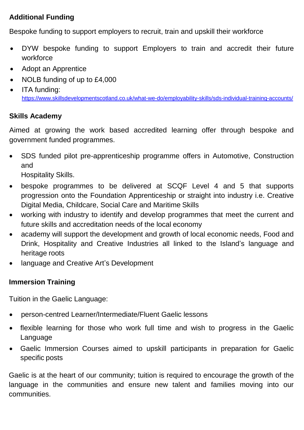# **Additional Funding**

Bespoke funding to support employers to recruit, train and upskill their workforce

- DYW bespoke funding to support Employers to train and accredit their future workforce
- Adopt an Apprentice
- NOLB funding of up to £4,000
- ITA funding: <https://www.skillsdevelopmentscotland.co.uk/what-we-do/employability-skills/sds-individual-training-accounts/>

## **Skills Academy**

Aimed at growing the work based accredited learning offer through bespoke and government funded programmes.

• SDS funded pilot pre-apprenticeship programme offers in Automotive, Construction and

Hospitality Skills.

- bespoke programmes to be delivered at SCQF Level 4 and 5 that supports progression onto the Foundation Apprenticeship or straight into industry i.e. Creative Digital Media, Childcare, Social Care and Maritime Skills
- working with industry to identify and develop programmes that meet the current and future skills and accreditation needs of the local economy
- academy will support the development and growth of local economic needs, Food and Drink, Hospitality and Creative Industries all linked to the Island's language and heritage roots
- language and Creative Art's Development

## **Immersion Training**

Tuition in the Gaelic Language:

- person-centred Learner/Intermediate/Fluent Gaelic lessons
- flexible learning for those who work full time and wish to progress in the Gaelic Language
- Gaelic Immersion Courses aimed to upskill participants in preparation for Gaelic specific posts

Gaelic is at the heart of our community; tuition is required to encourage the growth of the language in the communities and ensure new talent and families moving into our communities.